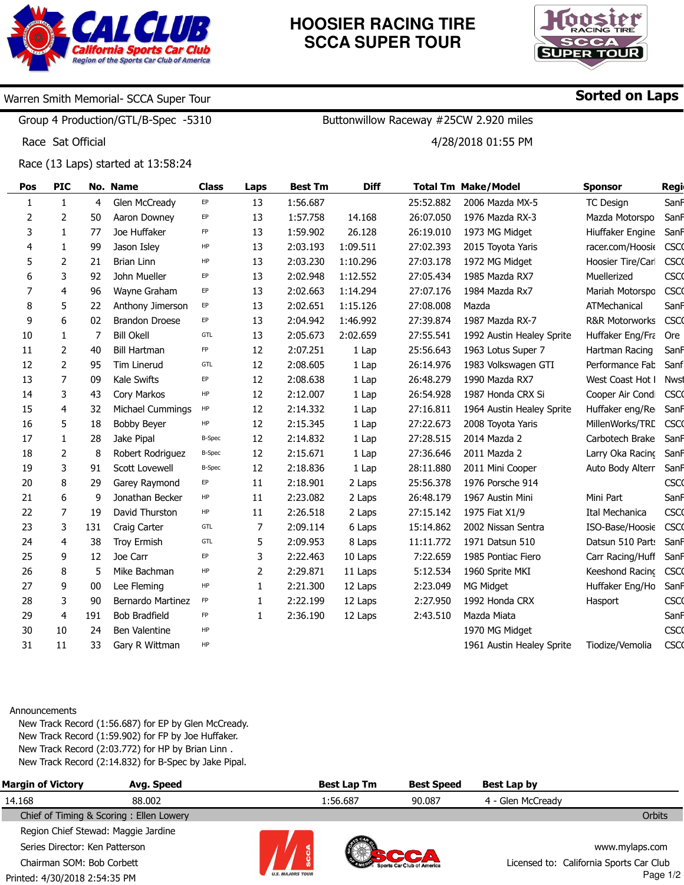

# **HOOSIER RACING TIRE SCCA SUPER TOUR**

Buttonwillow Raceway #25CW 2.920 miles

4/28/2018 01:55 PM



Sorted on Laps

### Warren Smith Memorial- SCCA Super Tour

Group 4 Production/GTL/B-Spec -5310

Race Sat Official

Race (13 Laps) started at 13:58:24

| Pos | <b>PIC</b>     |     | No. Name              | <b>Class</b>  | Laps | <b>Best Tm</b> | <b>Diff</b> |           | <b>Total Tm Make/Model</b> | <b>Sponsor</b>            | Regi        |
|-----|----------------|-----|-----------------------|---------------|------|----------------|-------------|-----------|----------------------------|---------------------------|-------------|
| 1   | $\mathbf{1}$   | 4   | Glen McCready         | EP            | 13   | 1:56.687       |             | 25:52.882 | 2006 Mazda MX-5            | <b>TC Design</b>          | SanF        |
| 2   | $\overline{2}$ | 50  | Aaron Downey          | EP            | 13   | 1:57.758       | 14.168      | 26:07.050 | 1976 Mazda RX-3            | Mazda Motorspo            | SanF        |
| 3   | $\mathbf{1}$   | 77  | Joe Huffaker          | ${\sf FP}$    | 13   | 1:59.902       | 26.128      | 26:19.010 | 1973 MG Midget             | Hiuffaker Engine          | SanF        |
| 4   | 1              | 99  | Jason Isley           | HP            | 13   | 2:03.193       | 1:09.511    | 27:02.393 | 2015 Toyota Yaris          | racer.com/Hoosie          | <b>CSCO</b> |
| 5   | 2              | 21  | <b>Brian Linn</b>     | HP            | 13   | 2:03.230       | 1:10.296    | 27:03.178 | 1972 MG Midget             | Hoosier Tire/Carl         | <b>CSCO</b> |
| 6   | 3              | 92  | John Mueller          | EP            | 13   | 2:02.948       | 1:12.552    | 27:05.434 | 1985 Mazda RX7             | Muellerized               | <b>CSCO</b> |
| 7   | 4              | 96  | Wayne Graham          | EP            | 13   | 2:02.663       | 1:14.294    | 27:07.176 | 1984 Mazda Rx7             | Mariah Motorspo           | <b>CSCO</b> |
| 8   | 5              | 22  | Anthony Jimerson      | EP            | 13   | 2:02.651       | 1:15.126    | 27:08.008 | Mazda                      | ATMechanical              | SanF        |
| 9   | 6              | 02  | <b>Brandon Droese</b> | EP            | 13   | 2:04.942       | 1:46.992    | 27:39.874 | 1987 Mazda RX-7            | <b>R&amp;R Motorworks</b> | <b>CSCO</b> |
| 10  | $\mathbf{1}$   | 7   | <b>Bill Okell</b>     | GTL           | 13   | 2:05.673       | 2:02.659    | 27:55.541 | 1992 Austin Healey Sprite  | Huffaker Eng/Fra          | Ore         |
| 11  | 2              | 40  | <b>Bill Hartman</b>   | FP            | 12   | 2:07.251       | 1 Lap       | 25:56.643 | 1963 Lotus Super 7         | Hartman Racing            | SanF        |
| 12  | 2              | 95  | Tim Linerud           | GTL           | 12   | 2:08.605       | 1 Lap       | 26:14.976 | 1983 Volkswagen GTI        | Performance Fab           | Sanf        |
| 13  | $\overline{7}$ | 09  | Kale Swifts           | EP            | 12   | 2:08.638       | 1 Lap       | 26:48.279 | 1990 Mazda RX7             | West Coast Hot I          | <b>Nwst</b> |
| 14  | 3              | 43  | Cory Markos           | HP            | 12   | 2:12.007       | 1 Lap       | 26:54.928 | 1987 Honda CRX Si          | Cooper Air Condi          | <b>CSCO</b> |
| 15  | 4              | 32  | Michael Cummings      | HP            | 12   | 2:14.332       | 1 Lap       | 27:16.811 | 1964 Austin Healey Sprite  | Huffaker eng/Re           | SanF        |
| 16  | 5              | 18  | <b>Bobby Beyer</b>    | HP            | 12   | 2:15.345       | 1 Lap       | 27:22.673 | 2008 Toyota Yaris          | MillenWorks/TRC           | <b>CSCO</b> |
| 17  | $\mathbf{1}$   | 28  | Jake Pipal            | <b>B-Spec</b> | 12   | 2:14.832       | 1 Lap       | 27:28.515 | 2014 Mazda 2               | Carbotech Brake           | SanF        |
| 18  | 2              | 8   | Robert Rodriguez      | <b>B-Spec</b> | 12   | 2:15.671       | 1 Lap       | 27:36.646 | 2011 Mazda 2               | Larry Oka Racing          | SanF        |
| 19  | 3              | 91  | Scott Lovewell        | <b>B-Spec</b> | 12   | 2:18.836       | 1 Lap       | 28:11.880 | 2011 Mini Cooper           | Auto Body Alterr          | SanF        |
| 20  | 8              | 29  | Garey Raymond         | EP            | 11   | 2:18.901       | 2 Laps      | 25:56.378 | 1976 Porsche 914           |                           | <b>CSCO</b> |
| 21  | 6              | 9   | Jonathan Becker       | HP            | 11   | 2:23.082       | 2 Laps      | 26:48.179 | 1967 Austin Mini           | Mini Part                 | SanF        |
| 22  | $\overline{7}$ | 19  | David Thurston        | HP            | 11   | 2:26.518       | 2 Laps      | 27:15.142 | 1975 Fiat X1/9             | Ital Mechanica            | <b>CSCO</b> |
| 23  | 3              | 131 | Craig Carter          | GTL           | 7    | 2:09.114       | 6 Laps      | 15:14.862 | 2002 Nissan Sentra         | ISO-Base/Hoosie           | <b>CSCO</b> |
| 24  | 4              | 38  | <b>Troy Ermish</b>    | GTL           | 5    | 2:09.953       | 8 Laps      | 11:11.772 | 1971 Datsun 510            | Datsun 510 Parts          | SanF        |
| 25  | 9              | 12  | Joe Carr              | EP            | 3    | 2:22.463       | 10 Laps     | 7:22.659  | 1985 Pontiac Fiero         | Carr Racing/Huff          | SanF        |
| 26  | 8              | 5   | Mike Bachman          | HP            | 2    | 2:29.871       | 11 Laps     | 5:12.534  | 1960 Sprite MKI            | Keeshond Racinc           | <b>CSCO</b> |
| 27  | 9              | 00  | Lee Fleming           | HP            | 1    | 2:21.300       | 12 Laps     | 2:23.049  | MG Midget                  | Huffaker Eng/Ho           | SanF        |
| 28  | 3              | 90  | Bernardo Martinez     | FP            | 1    | 2:22.199       | 12 Laps     | 2:27.950  | 1992 Honda CRX             | Hasport                   | <b>CSCO</b> |
| 29  | 4              | 191 | <b>Bob Bradfield</b>  | FP            | 1    | 2:36.190       | 12 Laps     | 2:43.510  | Mazda Miata                |                           | SanF        |
| 30  | 10             | 24  | <b>Ben Valentine</b>  | HP            |      |                |             |           | 1970 MG Midget             |                           | <b>CSCO</b> |
| 31  | 11             | 33  | Gary R Wittman        | HP            |      |                |             |           | 1961 Austin Healey Sprite  | Tiodize/Vemolia           | <b>CSCO</b> |
|     |                |     |                       |               |      |                |             |           |                            |                           |             |

#### Announcements

New Track Record (1:56.687) for EP by Glen McCready. New Track Record (1:59.902) for FP by Joe Huffaker. New Track Record (2:03.772) for HP by Brian Linn . New Track Record (2:14.832) for B-Spec by Jake Pipal.

| <b>Margin of Victory</b>            | Avg. Speed                              |                         | <b>Best Lap Tm</b> | <b>Best Speed</b> | Best Lap by       |                                         |
|-------------------------------------|-----------------------------------------|-------------------------|--------------------|-------------------|-------------------|-----------------------------------------|
| 14.168                              | 88.002                                  |                         | 1:56.687           | 90.087            | 4 - Glen McCready |                                         |
|                                     | Chief of Timing & Scoring: Ellen Lowery |                         |                    |                   |                   | <b>Orbits</b>                           |
| Region Chief Stewad: Maggie Jardine |                                         |                         |                    |                   |                   |                                         |
| Series Director: Ken Patterson      |                                         |                         |                    |                   |                   | www.mylaps.com                          |
| Chairman SOM: Bob Corbett           |                                         |                         |                    |                   |                   | Licensed to: California Sports Car Club |
| Printed: 4/30/2018 2:54:35 PM       |                                         | <b>U.S. MAJORS TOUR</b> |                    |                   |                   | Page 1/2                                |